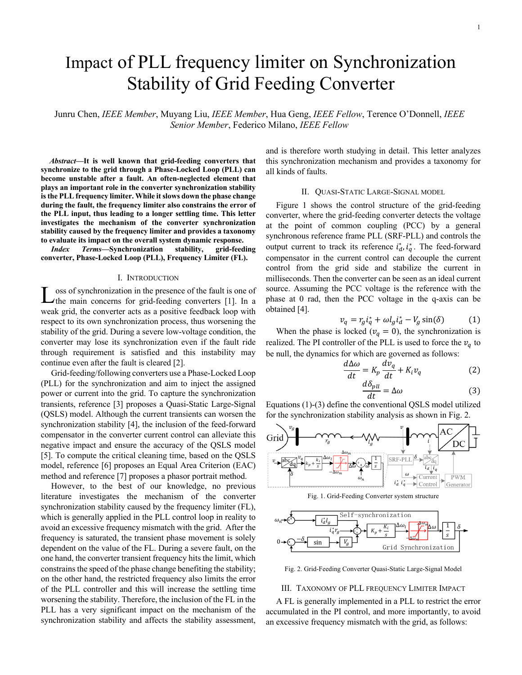# Impact of PLL frequency limiter on Synchronization Stability of Grid Feeding Converter

Junru Chen, *IEEE Member*, Muyang Liu, *IEEE Member*, Hua Geng, *IEEE Fellow*, Terence O'Donnell, *IEEE Senior Member*, Federico Milano, *IEEE Fellow*

*Abstract***—It is well known that grid-feeding converters that synchronize to the grid through a Phase-Locked Loop (PLL) can become unstable after a fault. An often-neglected element that plays an important role in the converter synchronization stability is the PLL frequency limiter. While it slows down the phase change during the fault, the frequency limiter also constrains the error of the PLL input, thus leading to a longer settling time. This letter investigates the mechanism of the converter synchronization stability caused by the frequency limiter and provides a taxonomy to evaluate its impact on the overall system dynamic response.**

*Index Terms***—Synchronization stability, grid-feeding converter, Phase-Locked Loop (PLL), Frequency Limiter (FL).**

### I. INTRODUCTION

oss of synchronization in the presence of the fault is one of the main concerns for grid-feeding converters [1]. In a weak grid, the converter acts as a positive feedback loop with respect to its own synchronization process, thus worsening the stability of the grid. During a severe low-voltage condition, the converter may lose its synchronization even if the fault ride through requirement is satisfied and this instability may continue even after the fault is cleared [2]. L

Grid-feeding/following converters use a Phase-Locked Loop (PLL) for the synchronization and aim to inject the assigned power or current into the grid. To capture the synchronization transients, reference [3] proposes a Quasi-Static Large-Signal (QSLS) model. Although the current transients can worsen the synchronization stability [4], the inclusion of the feed-forward compensator in the converter current control can alleviate this negative impact and ensure the accuracy of the QSLS model [5]. To compute the critical cleaning time, based on the QSLS model, reference [6] proposes an Equal Area Criterion (EAC) method and reference [7] proposes a phasor portrait method.

However, to the best of our knowledge, no previous literature investigates the mechanism of the converter synchronization stability caused by the frequency limiter (FL), which is generally applied in the PLL control loop in reality to avoid an excessive frequency mismatch with the grid. After the frequency is saturated, the transient phase movement is solely dependent on the value of the FL. During a severe fault, on the one hand, the converter transient frequency hits the limit, which constrains the speed of the phase change benefiting the stability; on the other hand, the restricted frequency also limits the error of the PLL controller and this will increase the settling time worsening the stability. Therefore, the inclusion of the FL in the PLL has a very significant impact on the mechanism of the synchronization stability and affects the stability assessment, and is therefore worth studying in detail. This letter analyzes this synchronization mechanism and provides a taxonomy for all kinds of faults.

# II. QUASI-STATIC LARGE-SIGNAL MODEL

Figure 1 shows the control structure of the grid-feeding converter, where the grid-feeding converter detects the voltage at the point of common coupling (PCC) by a general synchronous reference frame PLL (SRF-PLL) and controls the output current to track its reference  $i_d^*, i_q^*$ . The feed-forward compensator in the current control can decouple the current control from the grid side and stabilize the current in milliseconds. Then the converter can be seen as an ideal current source. Assuming the PCC voltage is the reference with the phase at 0 rad, then the PCC voltage in the q-axis can be obtained [4].

$$
v_q = r_g i_q^* + \omega l_g i_d^* - V_g \sin(\delta) \tag{1}
$$

When the phase is locked ( $v_q = 0$ ), the synchronization is realized. The PI controller of the PLL is used to force the  $v_a$  to be null, the dynamics for which are governed as follows:

$$
\frac{d\Delta\omega}{dt} = K_p \frac{dv_q}{dt} + K_i v_q \tag{2}
$$

$$
\frac{d\delta_{pll}}{dt} = \Delta\omega\tag{3}
$$

Equations (1)-(3) define the conventional QSLS model utilized for the synchronization stability analysis as shown in Fig. 2.



Fig. 1. Grid-Feeding Converter system structure



Fig. 2. Grid-Feeding Converter Quasi-Static Large-Signal Model

#### III. TAXONOMY OF PLL FREQUENCY LIMITER IMPACT

A FL is generally implemented in a PLL to restrict the error accumulated in the PI control, and more importantly, to avoid an excessive frequency mismatch with the grid, as follows: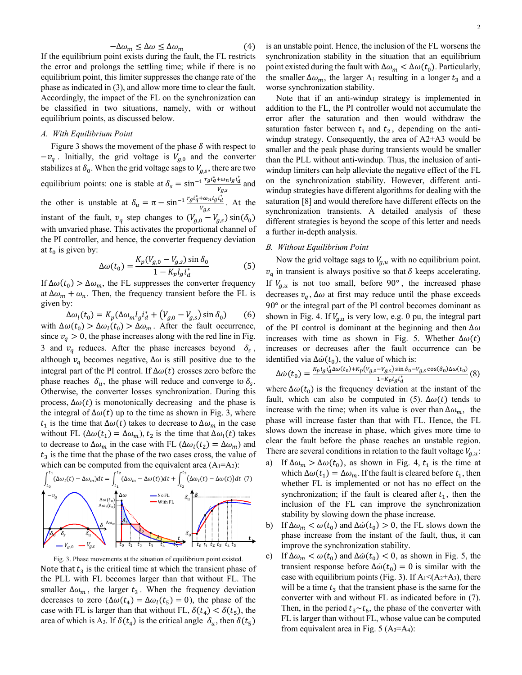$$
-\Delta\omega_m \leq \Delta\omega \leq \Delta\omega_m \tag{4}
$$

If the equilibrium point exists during the fault, the FL restricts the error and prolongs the settling time; while if there is no equilibrium point, this limiter suppresses the change rate of the phase as indicated in (3), and allow more time to clear the fault. Accordingly, the impact of the FL on the synchronization can be classified in two situations, namely, with or without equilibrium points, as discussed below.

# *A. With Equilibrium Point*

Figure 3 shows the movement of the phase  $\delta$  with respect to  $-v_q$ . Initially, the grid voltage is  $V_{q,0}$  and the converter stabilizes at  $\delta_0$ . When the grid voltage sags to  $V_{q,s}$ , there are two equilibrium points: one is stable at  $\delta_s = \sin^{-1} \frac{r_g i_q^* + \omega_n l_g i_d^*}{v}$  $\frac{\sqrt{6}}{V_{g,s}}$  and the other is unstable at  $\delta_u = \pi - \sin^{-1} \frac{rg t_q^* + \omega_n l_g t_d^*}{V}$  $\frac{f^{\mu} \omega_n \nu_g \nu_d}{V_{g,s}}$ . At the instant of the fault,  $v_q$  step changes to  $(V_{q,0} - V_{q,s}) \sin(\delta_0)$ with unvaried phase. This activates the proportional channel of the PI controller, and hence, the converter frequency deviation at  $t_0$  is given by:

$$
\Delta\omega(t_0) = \frac{K_p(V_{g,0} - V_{g,s})\sin\delta_0}{1 - K_p l_g i_d^*}
$$
(5)

If  $\Delta\omega(t_0) > \Delta\omega_m$ , the FL suppresses the converter frequency at  $\Delta\omega_m + \omega_n$ . Then, the frequency transient before the FL is given by:

 $\Delta \omega_l(t_0) = K_p (\Delta \omega_m l_g i_d^* + (V_{g,0} - V_{g,s}) \sin \delta_0)$  (6) with  $\Delta\omega(t_0) > \Delta\omega_t(t_0) > \Delta\omega_m$ . After the fault occurrence, since  $v_q > 0$ , the phase increases along with the red line in Fig. 3 and  $v_q$  reduces. After the phase increases beyond  $\delta_s$ , although  $v_q$  becomes negative,  $\Delta \omega$  is still positive due to the integral part of the PI control. If  $\Delta\omega(t)$  crosses zero before the phase reaches  $\delta_{\nu}$ , the phase will reduce and converge to  $\delta_{\rm s}$ . Otherwise, the converter losses synchronization. During this process,  $\Delta\omega(t)$  is monotonically decreasing and the phase is the integral of  $\Delta\omega(t)$  up to the time as shown in Fig. 3, where  $t_1$  is the time that  $\Delta\omega(t)$  takes to decrease to  $\Delta\omega_m$  in the case without FL ( $\Delta\omega(t_1) = \Delta\omega_m$ ),  $t_2$  is the time that  $\Delta\omega_l(t)$  takes to decrease to  $\Delta\omega_m$  in the case with FL ( $\Delta\omega_l(t_2) = \Delta\omega_m$ ) and  $t_3$  is the time that the phase of the two cases cross, the value of which can be computed from the equivalent area  $(A_1=A_2)$ :



Fig. 3. Phase movements at the situation of equilibrium point existed. Note that  $t_3$  is the critical time at which the transient phase of the PLL with FL becomes larger than that without FL. The smaller  $\Delta\omega_m$ , the larger  $t_3$ . When the frequency deviation decreases to zero ( $\Delta\omega(t_4) = \Delta\omega_1(t_5) = 0$ ), the phase of the case with FL is larger than that without FL,  $\delta(t_4) < \delta(t_5)$ , the area of which is A<sub>3</sub>. If  $\delta(t_4)$  is the critical angle  $\delta_u$ , then  $\delta(t_5)$ 

is an unstable point. Hence, the inclusion of the FL worsens the synchronization stability in the situation that an equilibrium point existed during the fault with  $\Delta \omega_m < \Delta \omega(t_0)$ . Particularly, the smaller  $\Delta\omega_m$ , the larger A<sub>1</sub> resulting in a longer  $t_3$  and a worse synchronization stability.

Note that if an anti-windup strategy is implemented in addition to the FL, the PI controller would not accumulate the error after the saturation and then would withdraw the saturation faster between  $t_1$  and  $t_2$ , depending on the antiwindup strategy. Consequently, the area of A2+A3 would be smaller and the peak phase during transients would be smaller than the PLL without anti-windup. Thus, the inclusion of antiwindup limiters can help alleviate the negative effect of the FL on the synchronization stability. However, different antiwindup strategies have different algorithms for dealing with the saturation [8] and would therefore have different effects on the synchronization transients. A detailed analysis of these different strategies is beyond the scope of this letter and needs a further in-depth analysis.

# *B. Without Equilibrium Point*

Now the grid voltage sags to  $V_{g,u}$  with no equilibrium point.  $v_q$  in transient is always positive so that  $\delta$  keeps accelerating. If  $V_{g,u}$  is not too small, before 90°, the increased phase decreases  $v_a$ ,  $\Delta \omega$  at first may reduce until the phase exceeds 90° or the integral part of the PI control becomes dominant as shown in Fig. 4. If  $V_{a,u}$  is very low, e.g. 0 pu, the integral part of the PI control is dominant at the beginning and then  $\Delta\omega$ increases with time as shown in Fig. 5. Whether  $\Delta\omega(t)$ increases or decreases after the fault occurrence can be identified via  $\Delta\dot{\omega}(t_0)$ , the value of which is:

$$
\Delta\dot{\omega}(t_0) = \frac{K_p l_g i_d^* \Delta\omega(t_0) + K_p (v_{g,0} - v_{g,s}) \sin \delta_0 - v_{g,s} \cos(\delta_0) \Delta\omega(t_0)}{1 - K_p l_g i_d^*}
$$
(8)

where  $\Delta\omega(t_0)$  is the frequency deviation at the instant of the fault, which can also be computed in (5).  $\Delta\omega(t)$  tends to increase with the time; when its value is over than  $\Delta\omega_m$ , the phase will increase faster than that with FL. Hence, the FL slows down the increase in phase, which gives more time to clear the fault before the phase reaches an unstable region. There are several conditions in relation to the fault voltage  $V_{a,u}$ :

- a) If  $\Delta\omega_m > \Delta\omega(t_0)$ , as shown in Fig. 4,  $t_1$  is the time at which  $\Delta\omega(t_1) = \Delta\omega_m$ . If the fault is cleared before  $t_1$ , then whether FL is implemented or not has no effect on the synchronization; if the fault is cleared after  $t_1$ , then the inclusion of the FL can improve the synchronization stability by slowing down the phase increase.
- b) If  $\Delta\omega_m < \omega(t_0)$  and  $\Delta\dot{\omega}(t_0) > 0$ , the FL slows down the phase increase from the instant of the fault, thus, it can improve the synchronization stability.
- c) If  $\Delta \omega_m < \omega(t_0)$  and  $\Delta \dot{\omega}(t_0) < 0$ , as shown in Fig. 5, the transient response before  $\Delta \dot{\omega}(t_0) = 0$  is similar with the case with equilibrium points (Fig. 3). If  $A_1 \leq (A_2 + A_3)$ , there will be a time  $t_3$  that the transient phase is the same for the converter with and without FL as indicated before in (7). Then, in the period  $t_3 \sim t_6$ , the phase of the converter with FL is larger than without FL, whose value can be computed from equivalent area in Fig. 5  $(A_3 = A_4)$ :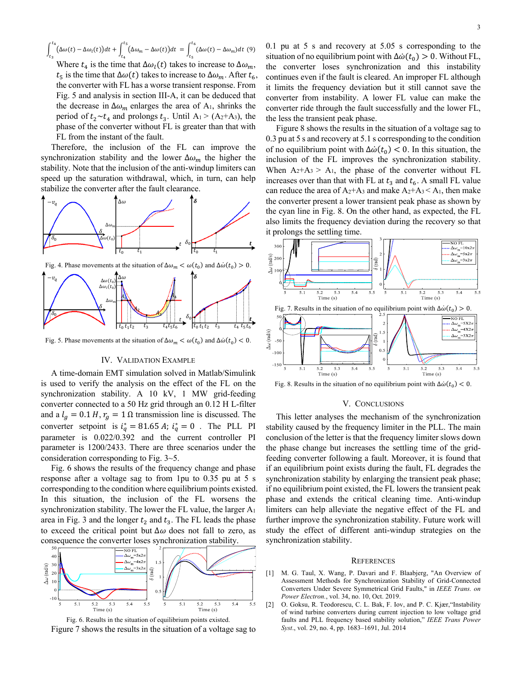$\int_{0}^{t_4} (\Delta \omega(t) - \Delta \omega_i(t)) dt$  $\int_{t_3}^{t_4} \left( \Delta \omega(t) - \Delta \omega_l(t) \right) dt + \int_{t_4}^{t_5} \left( \Delta \omega_m - \Delta \omega(t) \right) dt$  $\int_{t_4}^{t_5} \left( \Delta \omega_m - \Delta \omega(t) \right) dt = \int_{t_5}^{t_6} \left( \Delta \omega(t) - \Delta \omega_m \right) dt$  $(\Delta\omega(t) - \Delta\omega_m)dt$  (9) Where  $t_4$  is the time that  $\Delta\omega_l(t)$  takes to increase to  $\Delta\omega_m$ ,  $t_5$  is the time that  $\Delta\omega(t)$  takes to increase to  $\Delta\omega_m$ . After  $t_6$ , the converter with FL has a worse transient response. From Fig. 5 and analysis in section III-A, it can be deduced that the decrease in  $\Delta\omega_m$  enlarges the area of A<sub>1</sub>, shrinks the period of  $t_2 \sim t_4$  and prolongs  $t_3$ . Until A<sub>1</sub> > (A<sub>2</sub>+A<sub>3</sub>), the phase of the converter without FL is greater than that with FL from the instant of the fault.

Therefore, the inclusion of the FL can improve the synchronization stability and the lower  $\Delta\omega_m$  the higher the stability. Note that the inclusion of the anti-windup limiters can speed up the saturation withdrawal, which, in turn, can help stabilize the converter after the fault clearance.



Fig. 5. Phase movements at the situation of  $\Delta \omega_m < \omega(t_0)$  and  $\Delta \dot{\omega}(t_0) < 0$ .

## IV. VALIDATION EXAMPLE

A time-domain EMT simulation solved in Matlab/Simulink is used to verify the analysis on the effect of the FL on the synchronization stability. A 10 kV, 1 MW grid-feeding converter connected to a 50 Hz grid through an 0.12 H L-filter and a  $l_g = 0.1 H$ ,  $r_g = 1 \Omega$  transmission line is discussed. The converter setpoint is  $i_q^* = 81.65$  A;  $i_q^* = 0$ . The PLL PI parameter is 0.022/0.392 and the current controller PI parameter is 1200/2433. There are three scenarios under the consideration corresponding to Fig. 3~5.

Fig. 6 shows the results of the frequency change and phase response after a voltage sag to from 1pu to 0.35 pu at 5 s corresponding to the condition where equilibrium points existed. In this situation, the inclusion of the FL worsens the synchronization stability. The lower the FL value, the larger A1 area in Fig. 3 and the longer  $t_2$  and  $t_3$ . The FL leads the phase to exceed the critical point but  $\Delta\omega$  does not fall to zero, as consequence the converter loses synchronization stability.



Fig. 6. Results in the situation of equilibrium points existed. Figure 7 shows the results in the situation of a voltage sag to

0.1 pu at 5 s and recovery at 5.05 s corresponding to the situation of no equilibrium point with  $\Delta \dot{\omega}(t_0) > 0$ . Without FL, the converter loses synchronization and this instability continues even if the fault is cleared. An improper FL although it limits the frequency deviation but it still cannot save the converter from instability. A lower FL value can make the converter ride through the fault successfully and the lower FL, the less the transient peak phase.

Figure 8 shows the results in the situation of a voltage sag to 0.3 pu at 5 s and recovery at 5.1 s corresponding to the condition of no equilibrium point with  $\Delta \dot{\omega}(t_0) < 0$ . In this situation, the inclusion of the FL improves the synchronization stability. When  $A_2+A_3$  >  $A_1$ , the phase of the converter without FL increases over than that with FL at  $t_3$  and  $t_6$ . A small FL value can reduce the area of  $A_2+A_3$  and make  $A_2+A_3 < A_1$ , then make the converter present a lower transient peak phase as shown by the cyan line in Fig. 8. On the other hand, as expected, the FL also limits the frequency deviation during the recovery so that it prolongs the settling time.



Fig. 8. Results in the situation of no equilibrium point with  $\Delta \dot{\omega}(t_0) < 0$ .

#### V. CONCLUSIONS

This letter analyses the mechanism of the synchronization stability caused by the frequency limiter in the PLL. The main conclusion of the letter is that the frequency limiter slows down the phase change but increases the settling time of the gridfeeding converter following a fault. Moreover, it is found that if an equilibrium point exists during the fault, FL degrades the synchronization stability by enlarging the transient peak phase; if no equilibrium point existed, the FL lowers the transient peak phase and extends the critical cleaning time. Anti-windup limiters can help alleviate the negative effect of the FL and further improve the synchronization stability. Future work will study the effect of different anti-windup strategies on the synchronization stability.

#### **REFERENCES**

- [1] M. G. Taul, X. Wang, P. Davari and F. Blaabjerg, "An Overview of Assessment Methods for Synchronization Stability of Grid-Connected Converters Under Severe Symmetrical Grid Faults," in *IEEE Trans. on Power Electron.*, vol. 34, no. 10, Oct. 2019.
- [2] O. Goksu, R. Teodorescu, C. L. Bak, F. Iov, and P. C. Kjær,"Instability of wind turbine converters during current injection to low voltage grid faults and PLL frequency based stability solution," *IEEE Trans Power Syst*., vol. 29, no. 4, pp. 1683–1691, Jul. 2014